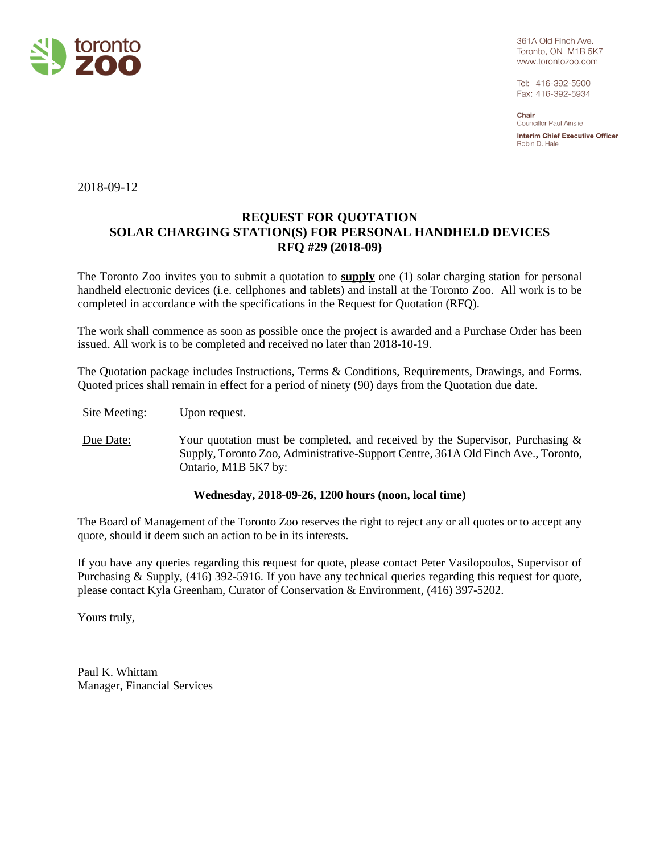

361A Old Finch Ave. Toronto, ON M1B 5K7 www.torontozoo.com

Tel: 416-392-5900 Fax: 416-392-5934

Chair Councillor Paul Ainslie **Interim Chief Executive Officer** Robin D. Hale

2018-09-12

# **REQUEST FOR QUOTATION SOLAR CHARGING STATION(S) FOR PERSONAL HANDHELD DEVICES RFQ #29 (2018-09)**

The Toronto Zoo invites you to submit a quotation to **supply** one (1) solar charging station for personal handheld electronic devices (i.e. cellphones and tablets) and install at the Toronto Zoo. All work is to be completed in accordance with the specifications in the Request for Quotation (RFQ).

The work shall commence as soon as possible once the project is awarded and a Purchase Order has been issued. All work is to be completed and received no later than 2018-10-19.

The Quotation package includes Instructions, Terms & Conditions, Requirements, Drawings, and Forms. Quoted prices shall remain in effect for a period of ninety (90) days from the Quotation due date.

Site Meeting: Upon request.

Due Date: Your quotation must be completed, and received by the Supervisor, Purchasing & Supply, Toronto Zoo, Administrative-Support Centre, 361A Old Finch Ave., Toronto, Ontario, M1B 5K7 by:

#### **Wednesday, 2018-09-26, 1200 hours (noon, local time)**

The Board of Management of the Toronto Zoo reserves the right to reject any or all quotes or to accept any quote, should it deem such an action to be in its interests.

If you have any queries regarding this request for quote, please contact Peter Vasilopoulos, Supervisor of Purchasing & Supply, (416) 392-5916. If you have any technical queries regarding this request for quote, please contact Kyla Greenham, Curator of Conservation & Environment, (416) 397-5202.

Yours truly,

Paul K. Whittam Manager, Financial Services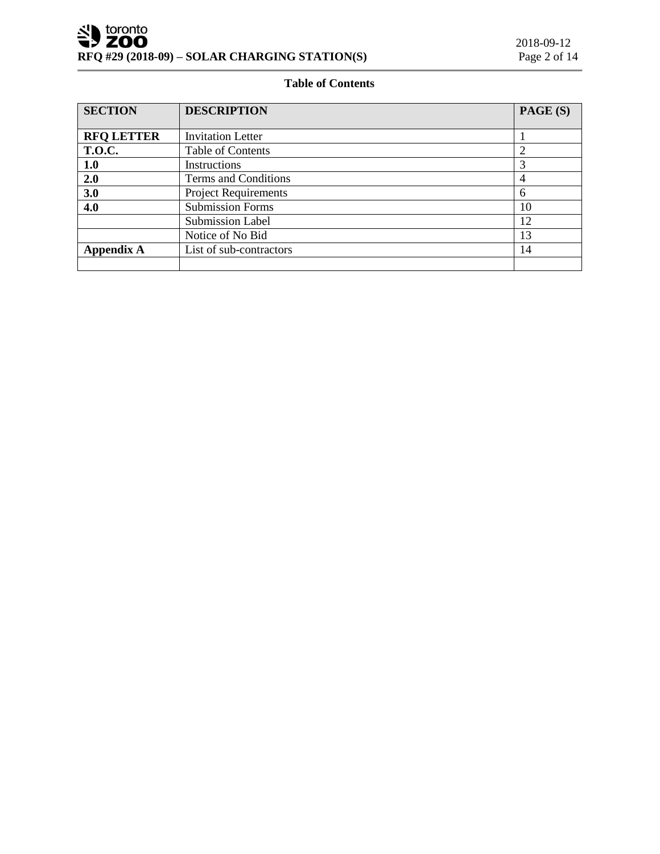r.

## **Table of Contents**

| <b>SECTION</b>    | <b>DESCRIPTION</b>          | PAGE (S) |
|-------------------|-----------------------------|----------|
|                   |                             |          |
| <b>RFQ LETTER</b> | <b>Invitation Letter</b>    |          |
| <b>T.O.C.</b>     | Table of Contents           |          |
| 1.0               | <b>Instructions</b>         |          |
| 2.0               | Terms and Conditions        | 4        |
| 3.0               | <b>Project Requirements</b> | 6        |
| 4.0               | <b>Submission Forms</b>     | 10       |
|                   | <b>Submission Label</b>     | 12       |
|                   | Notice of No Bid            | 13       |
| <b>Appendix A</b> | List of sub-contractors     | 14       |
|                   |                             |          |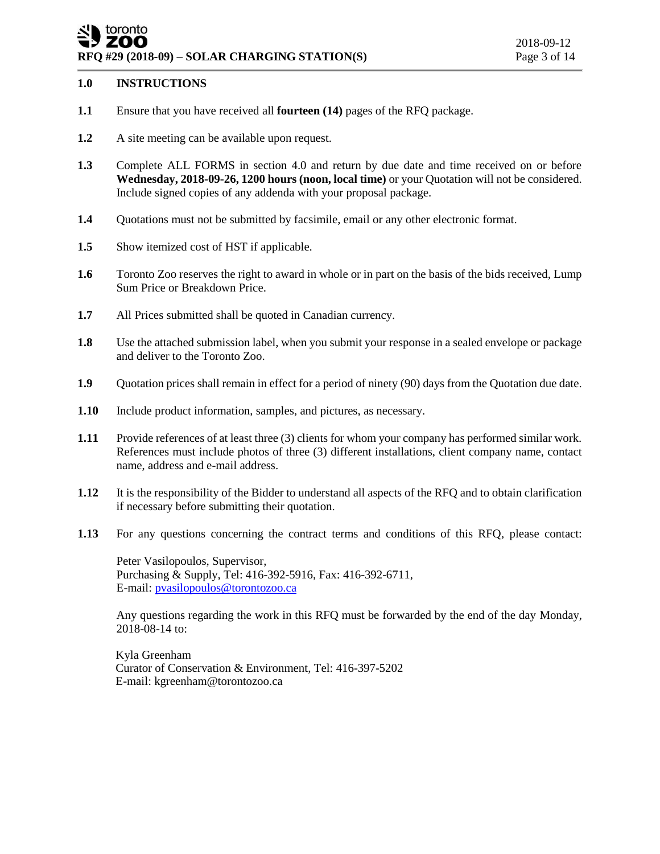## toronto ZOO **RFQ #29 (2018-09) – SOLAR CHARGING STATION(S)** Page 3 of 14

#### **1.0 INSTRUCTIONS**

- **1.1** Ensure that you have received all **fourteen (14)** pages of the RFQ package.
- **1.2** A site meeting can be available upon request.
- **1.3** Complete ALL FORMS in section 4.0 and return by due date and time received on or before **Wednesday, 2018-09-26, 1200 hours (noon, local time)** or your Quotation will not be considered. Include signed copies of any addenda with your proposal package.
- **1.4** Quotations must not be submitted by facsimile, email or any other electronic format.
- **1.5** Show itemized cost of HST if applicable.
- **1.6** Toronto Zoo reserves the right to award in whole or in part on the basis of the bids received, Lump Sum Price or Breakdown Price.
- **1.7** All Prices submitted shall be quoted in Canadian currency.
- **1.8** Use the attached submission label, when you submit your response in a sealed envelope or package and deliver to the Toronto Zoo.
- **1.9** Quotation prices shall remain in effect for a period of ninety (90) days from the Quotation due date.
- **1.10** Include product information, samples, and pictures, as necessary.
- **1.11** Provide references of at least three (3) clients for whom your company has performed similar work. References must include photos of three (3) different installations, client company name, contact name, address and e-mail address.
- **1.12** It is the responsibility of the Bidder to understand all aspects of the RFQ and to obtain clarification if necessary before submitting their quotation.
- **1.13** For any questions concerning the contract terms and conditions of this RFQ, please contact:

Peter Vasilopoulos, Supervisor, Purchasing & Supply, Tel: 416-392-5916, Fax: 416-392-6711, E-mail[: pvasilopoulos@torontozoo.ca](mailto:pvasilopoulos@torontozoo.ca)

Any questions regarding the work in this RFQ must be forwarded by the end of the day Monday, 2018-08-14 to:

Kyla Greenham Curator of Conservation & Environment, Tel: 416-397-5202 E-mail: kgreenham@torontozoo.ca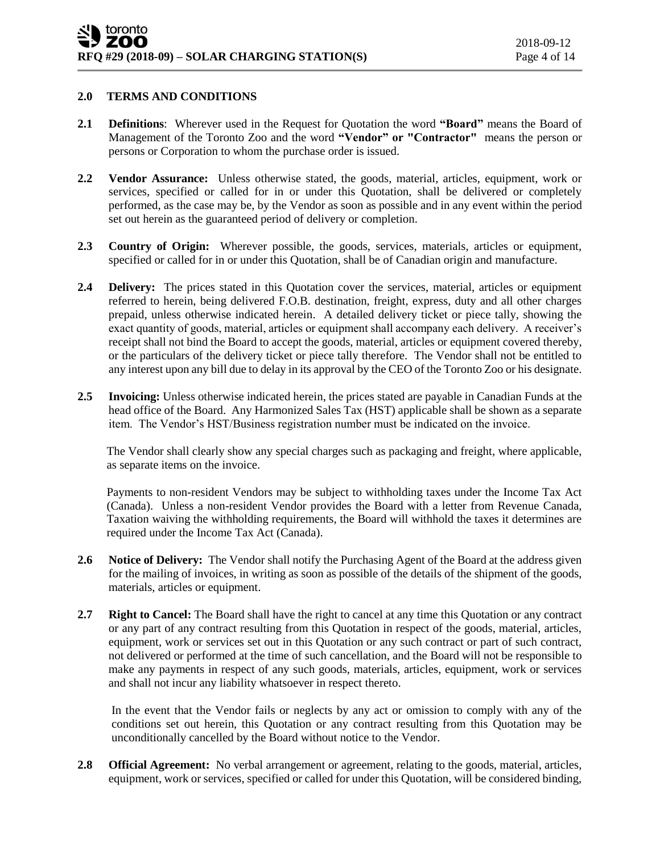#### **2.0 TERMS AND CONDITIONS**

- **2.1 Definitions**: Wherever used in the Request for Quotation the word **"Board"** means the Board of Management of the Toronto Zoo and the word **"Vendor" or "Contractor"** means the person or persons or Corporation to whom the purchase order is issued.
- **2.2 Vendor Assurance:** Unless otherwise stated, the goods, material, articles, equipment, work or services, specified or called for in or under this Quotation, shall be delivered or completely performed, as the case may be, by the Vendor as soon as possible and in any event within the period set out herein as the guaranteed period of delivery or completion.
- **2.3 Country of Origin:** Wherever possible, the goods, services, materials, articles or equipment, specified or called for in or under this Quotation, shall be of Canadian origin and manufacture.
- **2.4 Delivery:** The prices stated in this Quotation cover the services, material, articles or equipment referred to herein, being delivered F.O.B. destination, freight, express, duty and all other charges prepaid, unless otherwise indicated herein. A detailed delivery ticket or piece tally, showing the exact quantity of goods, material, articles or equipment shall accompany each delivery. A receiver's receipt shall not bind the Board to accept the goods, material, articles or equipment covered thereby, or the particulars of the delivery ticket or piece tally therefore. The Vendor shall not be entitled to any interest upon any bill due to delay in its approval by the CEO of the Toronto Zoo or his designate.
- **2.5 Invoicing:** Unless otherwise indicated herein, the prices stated are payable in Canadian Funds at the head office of the Board. Any Harmonized Sales Tax (HST) applicable shall be shown as a separate item. The Vendor's HST/Business registration number must be indicated on the invoice.

The Vendor shall clearly show any special charges such as packaging and freight, where applicable, as separate items on the invoice.

Payments to non-resident Vendors may be subject to withholding taxes under the Income Tax Act (Canada). Unless a non-resident Vendor provides the Board with a letter from Revenue Canada, Taxation waiving the withholding requirements, the Board will withhold the taxes it determines are required under the Income Tax Act (Canada).

- **2.6 Notice of Delivery:** The Vendor shall notify the Purchasing Agent of the Board at the address given for the mailing of invoices, in writing as soon as possible of the details of the shipment of the goods, materials, articles or equipment.
- **2.7 Right to Cancel:** The Board shall have the right to cancel at any time this Quotation or any contract or any part of any contract resulting from this Quotation in respect of the goods, material, articles, equipment, work or services set out in this Quotation or any such contract or part of such contract, not delivered or performed at the time of such cancellation, and the Board will not be responsible to make any payments in respect of any such goods, materials, articles, equipment, work or services and shall not incur any liability whatsoever in respect thereto.

In the event that the Vendor fails or neglects by any act or omission to comply with any of the conditions set out herein, this Quotation or any contract resulting from this Quotation may be unconditionally cancelled by the Board without notice to the Vendor.

**2.8 Official Agreement:** No verbal arrangement or agreement, relating to the goods, material, articles, equipment, work or services, specified or called for under this Quotation, will be considered binding,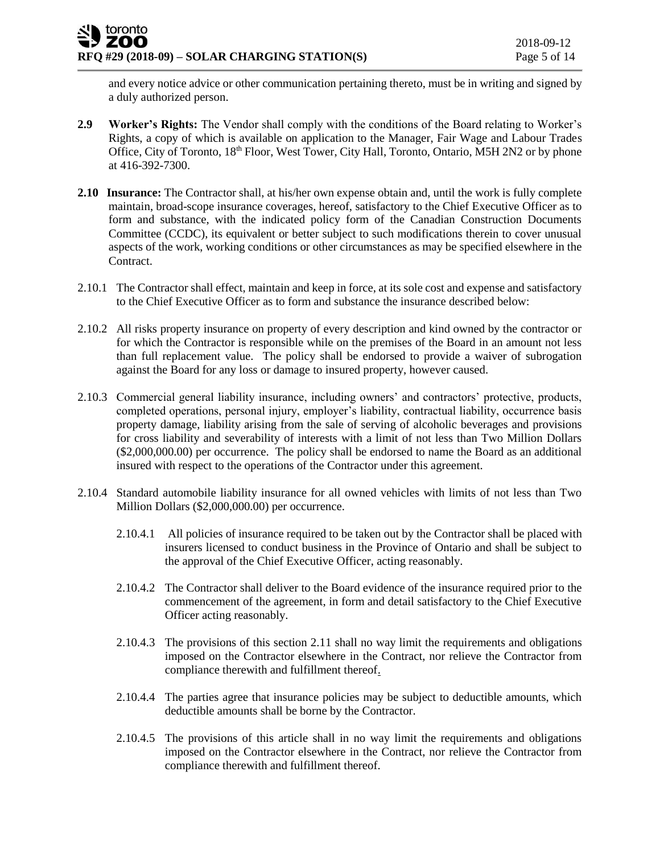and every notice advice or other communication pertaining thereto, must be in writing and signed by a duly authorized person.

- **2.9 Worker's Rights:** The Vendor shall comply with the conditions of the Board relating to Worker's Rights, a copy of which is available on application to the Manager, Fair Wage and Labour Trades Office, City of Toronto, 18<sup>th</sup> Floor, West Tower, City Hall, Toronto, Ontario, M5H 2N2 or by phone at 416-392-7300.
- **2.10 Insurance:** The Contractor shall, at his/her own expense obtain and, until the work is fully complete maintain, broad-scope insurance coverages, hereof, satisfactory to the Chief Executive Officer as to form and substance, with the indicated policy form of the Canadian Construction Documents Committee (CCDC), its equivalent or better subject to such modifications therein to cover unusual aspects of the work, working conditions or other circumstances as may be specified elsewhere in the Contract.
- 2.10.1 The Contractor shall effect, maintain and keep in force, at its sole cost and expense and satisfactory to the Chief Executive Officer as to form and substance the insurance described below:
- 2.10.2 All risks property insurance on property of every description and kind owned by the contractor or for which the Contractor is responsible while on the premises of the Board in an amount not less than full replacement value. The policy shall be endorsed to provide a waiver of subrogation against the Board for any loss or damage to insured property, however caused.
- 2.10.3 Commercial general liability insurance, including owners' and contractors' protective, products, completed operations, personal injury, employer's liability, contractual liability, occurrence basis property damage, liability arising from the sale of serving of alcoholic beverages and provisions for cross liability and severability of interests with a limit of not less than Two Million Dollars (\$2,000,000.00) per occurrence. The policy shall be endorsed to name the Board as an additional insured with respect to the operations of the Contractor under this agreement.
- 2.10.4 Standard automobile liability insurance for all owned vehicles with limits of not less than Two Million Dollars (\$2,000,000.00) per occurrence.
	- 2.10.4.1 All policies of insurance required to be taken out by the Contractor shall be placed with insurers licensed to conduct business in the Province of Ontario and shall be subject to the approval of the Chief Executive Officer, acting reasonably.
	- 2.10.4.2 The Contractor shall deliver to the Board evidence of the insurance required prior to the commencement of the agreement, in form and detail satisfactory to the Chief Executive Officer acting reasonably.
	- 2.10.4.3 The provisions of this section 2.11 shall no way limit the requirements and obligations imposed on the Contractor elsewhere in the Contract, nor relieve the Contractor from compliance therewith and fulfillment thereof.
	- 2.10.4.4 The parties agree that insurance policies may be subject to deductible amounts, which deductible amounts shall be borne by the Contractor.
	- 2.10.4.5 The provisions of this article shall in no way limit the requirements and obligations imposed on the Contractor elsewhere in the Contract, nor relieve the Contractor from compliance therewith and fulfillment thereof.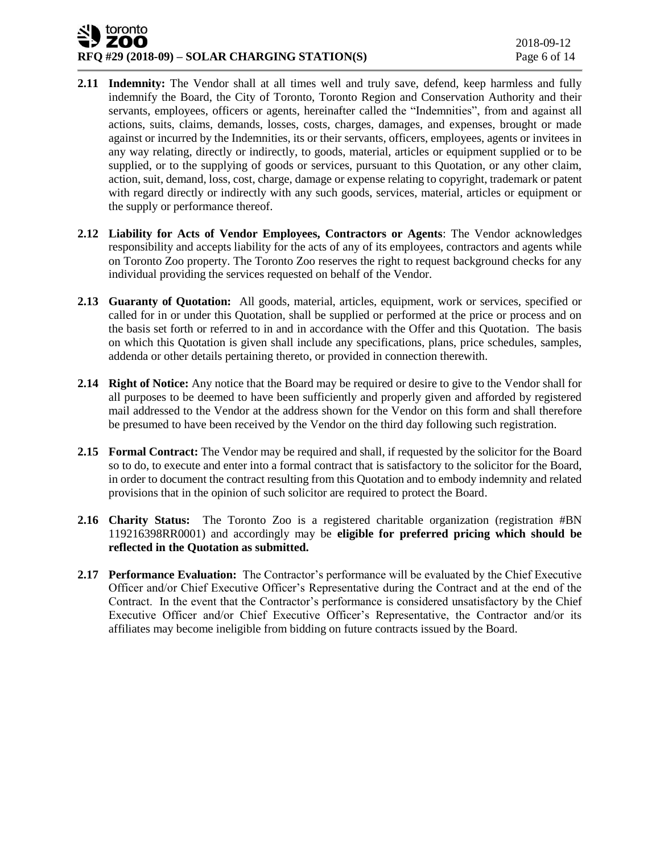## toronto ZOO **RFQ #29 (2018-09) – SOLAR CHARGING STATION(S)** Page 6 of 14

- **2.11 Indemnity:** The Vendor shall at all times well and truly save, defend, keep harmless and fully indemnify the Board, the City of Toronto, Toronto Region and Conservation Authority and their servants, employees, officers or agents, hereinafter called the "Indemnities", from and against all actions, suits, claims, demands, losses, costs, charges, damages, and expenses, brought or made against or incurred by the Indemnities, its or their servants, officers, employees, agents or invitees in any way relating, directly or indirectly, to goods, material, articles or equipment supplied or to be supplied, or to the supplying of goods or services, pursuant to this Quotation, or any other claim, action, suit, demand, loss, cost, charge, damage or expense relating to copyright, trademark or patent with regard directly or indirectly with any such goods, services, material, articles or equipment or the supply or performance thereof.
- **2.12 Liability for Acts of Vendor Employees, Contractors or Agents**: The Vendor acknowledges responsibility and accepts liability for the acts of any of its employees, contractors and agents while on Toronto Zoo property. The Toronto Zoo reserves the right to request background checks for any individual providing the services requested on behalf of the Vendor.
- **2.13 Guaranty of Quotation:** All goods, material, articles, equipment, work or services, specified or called for in or under this Quotation, shall be supplied or performed at the price or process and on the basis set forth or referred to in and in accordance with the Offer and this Quotation. The basis on which this Quotation is given shall include any specifications, plans, price schedules, samples, addenda or other details pertaining thereto, or provided in connection therewith.
- **2.14 Right of Notice:** Any notice that the Board may be required or desire to give to the Vendor shall for all purposes to be deemed to have been sufficiently and properly given and afforded by registered mail addressed to the Vendor at the address shown for the Vendor on this form and shall therefore be presumed to have been received by the Vendor on the third day following such registration.
- **2.15 Formal Contract:** The Vendor may be required and shall, if requested by the solicitor for the Board so to do, to execute and enter into a formal contract that is satisfactory to the solicitor for the Board, in order to document the contract resulting from this Quotation and to embody indemnity and related provisions that in the opinion of such solicitor are required to protect the Board.
- **2.16 Charity Status:** The Toronto Zoo is a registered charitable organization (registration #BN 119216398RR0001) and accordingly may be **eligible for preferred pricing which should be reflected in the Quotation as submitted.**
- **2.17 Performance Evaluation:** The Contractor's performance will be evaluated by the Chief Executive Officer and/or Chief Executive Officer's Representative during the Contract and at the end of the Contract. In the event that the Contractor's performance is considered unsatisfactory by the Chief Executive Officer and/or Chief Executive Officer's Representative, the Contractor and/or its affiliates may become ineligible from bidding on future contracts issued by the Board.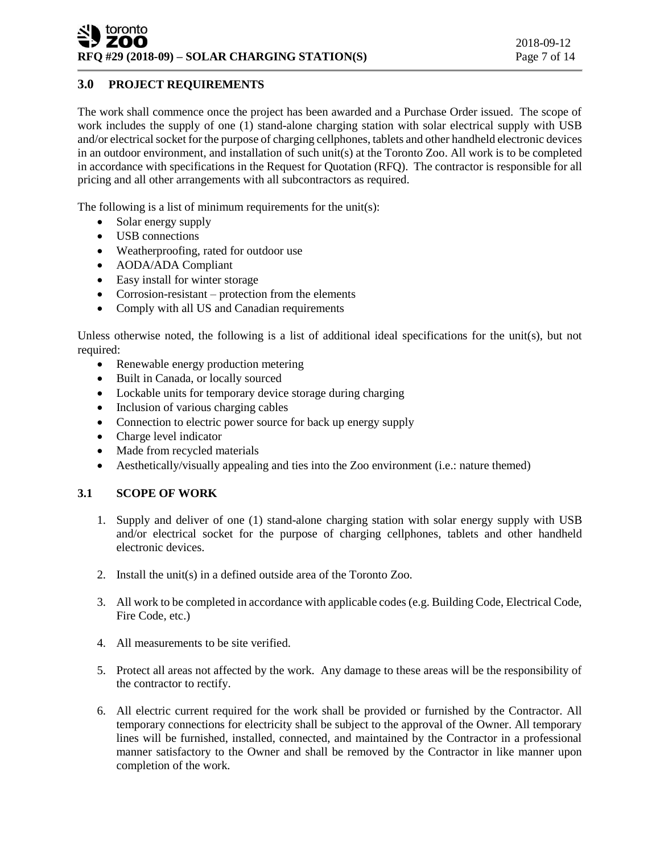## **3.0 PROJECT REQUIREMENTS**

The work shall commence once the project has been awarded and a Purchase Order issued. The scope of work includes the supply of one (1) stand-alone charging station with solar electrical supply with USB and/or electrical socket for the purpose of charging cellphones, tablets and other handheld electronic devices in an outdoor environment, and installation of such unit(s) at the Toronto Zoo. All work is to be completed in accordance with specifications in the Request for Quotation (RFQ). The contractor is responsible for all pricing and all other arrangements with all subcontractors as required.

The following is a list of minimum requirements for the unit(s):

- Solar energy supply
- USB connections
- Weatherproofing, rated for outdoor use
- AODA/ADA Compliant
- Easy install for winter storage
- Corrosion-resistant protection from the elements
- Comply with all US and Canadian requirements

Unless otherwise noted, the following is a list of additional ideal specifications for the unit(s), but not required:

- Renewable energy production metering
- Built in Canada, or locally sourced
- Lockable units for temporary device storage during charging
- Inclusion of various charging cables
- Connection to electric power source for back up energy supply
- Charge level indicator
- Made from recycled materials
- Aesthetically/visually appealing and ties into the Zoo environment (i.e.: nature themed)

### **3.1 SCOPE OF WORK**

- 1. Supply and deliver of one (1) stand-alone charging station with solar energy supply with USB and/or electrical socket for the purpose of charging cellphones, tablets and other handheld electronic devices.
- 2. Install the unit(s) in a defined outside area of the Toronto Zoo.
- 3. All work to be completed in accordance with applicable codes (e.g. Building Code, Electrical Code, Fire Code, etc.)
- 4. All measurements to be site verified.
- 5. Protect all areas not affected by the work. Any damage to these areas will be the responsibility of the contractor to rectify.
- 6. All electric current required for the work shall be provided or furnished by the Contractor. All temporary connections for electricity shall be subject to the approval of the Owner. All temporary lines will be furnished, installed, connected, and maintained by the Contractor in a professional manner satisfactory to the Owner and shall be removed by the Contractor in like manner upon completion of the work.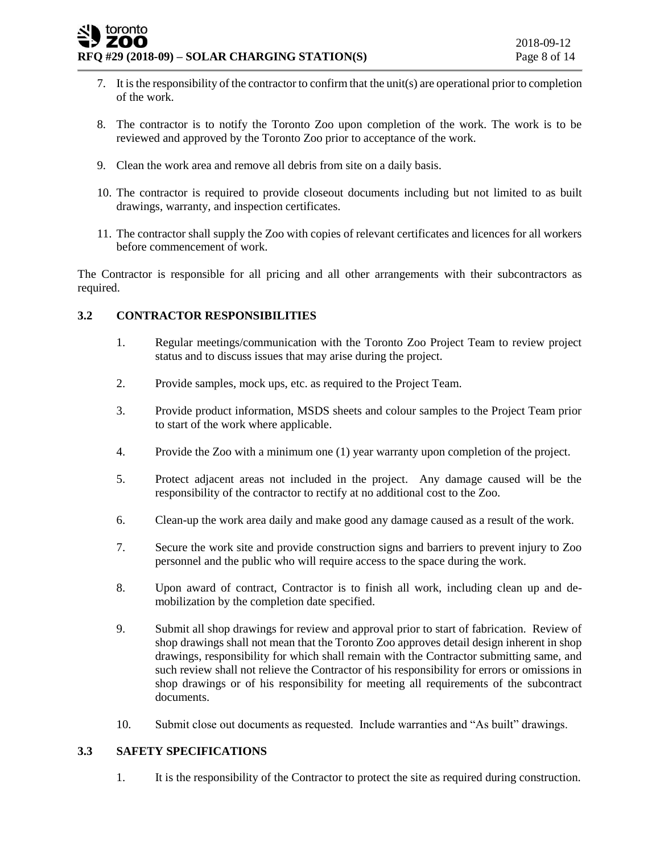- 7. It is the responsibility of the contractor to confirm that the unit(s) are operational prior to completion of the work.
- 8. The contractor is to notify the Toronto Zoo upon completion of the work. The work is to be reviewed and approved by the Toronto Zoo prior to acceptance of the work.
- 9. Clean the work area and remove all debris from site on a daily basis.
- 10. The contractor is required to provide closeout documents including but not limited to as built drawings, warranty, and inspection certificates.
- 11. The contractor shall supply the Zoo with copies of relevant certificates and licences for all workers before commencement of work.

The Contractor is responsible for all pricing and all other arrangements with their subcontractors as required.

### **3.2 CONTRACTOR RESPONSIBILITIES**

- 1. Regular meetings/communication with the Toronto Zoo Project Team to review project status and to discuss issues that may arise during the project.
- 2. Provide samples, mock ups, etc. as required to the Project Team.
- 3. Provide product information, MSDS sheets and colour samples to the Project Team prior to start of the work where applicable.
- 4. Provide the Zoo with a minimum one (1) year warranty upon completion of the project.
- 5. Protect adjacent areas not included in the project. Any damage caused will be the responsibility of the contractor to rectify at no additional cost to the Zoo.
- 6. Clean-up the work area daily and make good any damage caused as a result of the work.
- 7. Secure the work site and provide construction signs and barriers to prevent injury to Zoo personnel and the public who will require access to the space during the work.
- 8. Upon award of contract, Contractor is to finish all work, including clean up and demobilization by the completion date specified.
- 9. Submit all shop drawings for review and approval prior to start of fabrication. Review of shop drawings shall not mean that the Toronto Zoo approves detail design inherent in shop drawings, responsibility for which shall remain with the Contractor submitting same, and such review shall not relieve the Contractor of his responsibility for errors or omissions in shop drawings or of his responsibility for meeting all requirements of the subcontract documents.
- 10. Submit close out documents as requested. Include warranties and "As built" drawings.

### **3.3 SAFETY SPECIFICATIONS**

1. It is the responsibility of the Contractor to protect the site as required during construction.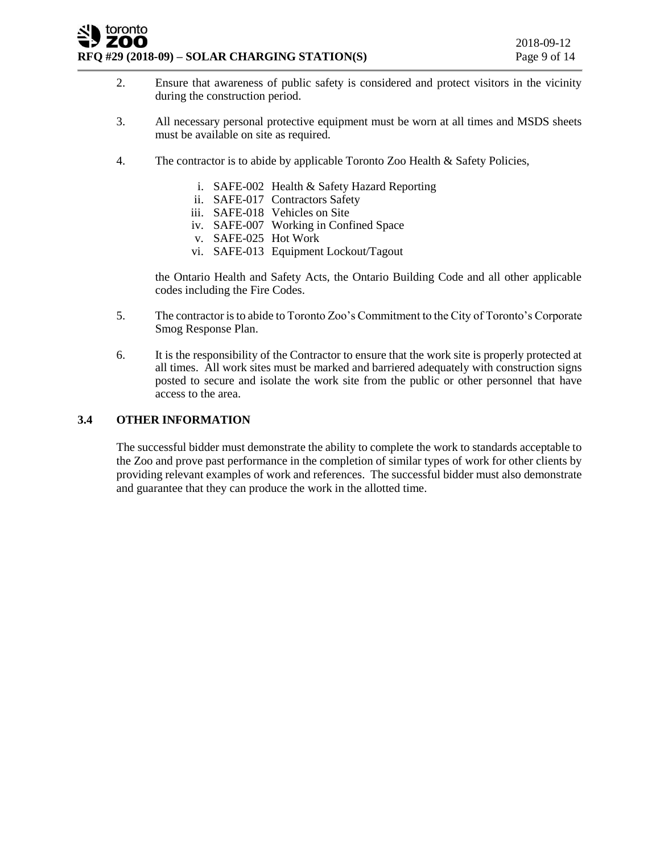#### toronto ZOO **RFQ #29 (2018-09) – SOLAR CHARGING STATION(S)** Page 9 of 14

- 2. Ensure that awareness of public safety is considered and protect visitors in the vicinity during the construction period.
- 3. All necessary personal protective equipment must be worn at all times and MSDS sheets must be available on site as required.
- 4. The contractor is to abide by applicable Toronto Zoo Health & Safety Policies,
	- i. SAFE-002 Health & Safety Hazard Reporting
	- ii. SAFE-017 Contractors Safety
	- iii. SAFE-018 Vehicles on Site
	- iv. SAFE-007 Working in Confined Space
	- v. SAFE-025 Hot Work
	- vi. SAFE-013 Equipment Lockout/Tagout

the Ontario Health and Safety Acts, the Ontario Building Code and all other applicable codes including the Fire Codes.

- 5. The contractor is to abide to Toronto Zoo's Commitment to the City of Toronto's Corporate Smog Response Plan.
- 6. It is the responsibility of the Contractor to ensure that the work site is properly protected at all times. All work sites must be marked and barriered adequately with construction signs posted to secure and isolate the work site from the public or other personnel that have access to the area.

#### **3.4 OTHER INFORMATION**

The successful bidder must demonstrate the ability to complete the work to standards acceptable to the Zoo and prove past performance in the completion of similar types of work for other clients by providing relevant examples of work and references. The successful bidder must also demonstrate and guarantee that they can produce the work in the allotted time.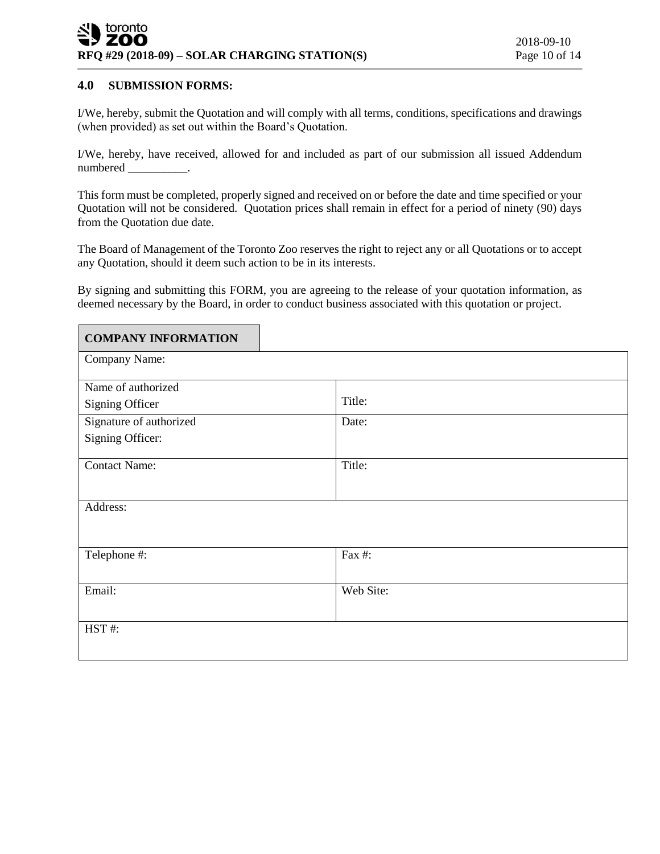#### **4.0 SUBMISSION FORMS:**

I/We, hereby, submit the Quotation and will comply with all terms, conditions, specifications and drawings (when provided) as set out within the Board's Quotation.

I/We, hereby, have received, allowed for and included as part of our submission all issued Addendum numbered \_\_\_\_\_\_\_\_\_\_.

This form must be completed, properly signed and received on or before the date and time specified or your Quotation will not be considered. Quotation prices shall remain in effect for a period of ninety (90) days from the Quotation due date.

The Board of Management of the Toronto Zoo reserves the right to reject any or all Quotations or to accept any Quotation, should it deem such action to be in its interests.

By signing and submitting this FORM, you are agreeing to the release of your quotation information, as deemed necessary by the Board, in order to conduct business associated with this quotation or project.

| <b>COMPANY INFORMATION</b> |           |
|----------------------------|-----------|
| Company Name:              |           |
| Name of authorized         |           |
| Signing Officer            | Title:    |
| Signature of authorized    | Date:     |
| Signing Officer:           |           |
| <b>Contact Name:</b>       | Title:    |
| Address:                   |           |
| Telephone #:               | Fax #:    |
| Email:                     | Web Site: |
| HST#:                      |           |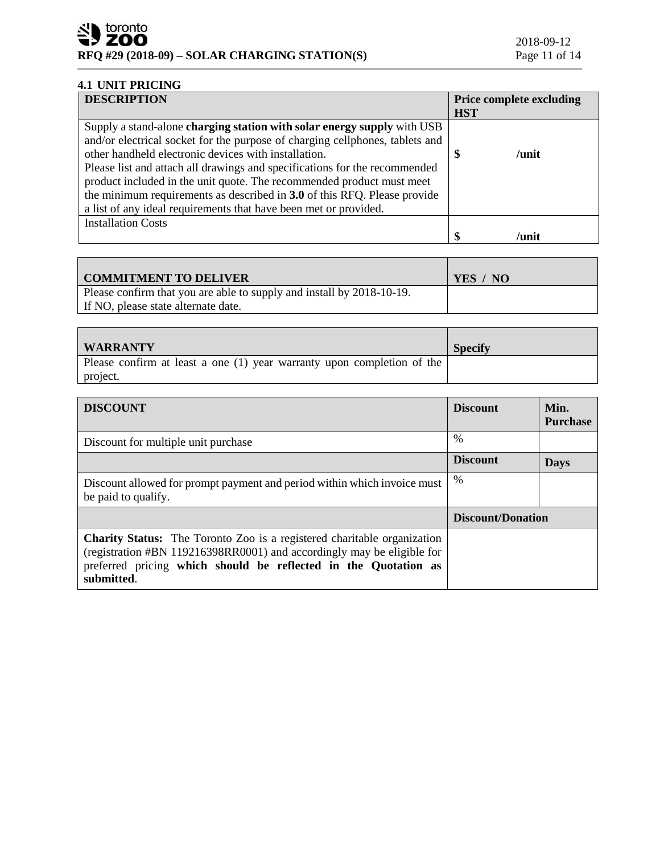# **4.1 UNIT PRICING**

| <b>DESCRIPTION</b>                                                           | <b>Price complete excluding</b> |
|------------------------------------------------------------------------------|---------------------------------|
|                                                                              | <b>HST</b>                      |
| Supply a stand-alone charging station with solar energy supply with USB      |                                 |
| and/or electrical socket for the purpose of charging cellphones, tablets and |                                 |
| other handheld electronic devices with installation.                         | $/$ unit                        |
| Please list and attach all drawings and specifications for the recommended   |                                 |
| product included in the unit quote. The recommended product must meet        |                                 |
| the minimum requirements as described in 3.0 of this RFQ. Please provide     |                                 |
| a list of any ideal requirements that have been met or provided.             |                                 |
| <b>Installation Costs</b>                                                    |                                 |
|                                                                              | \$<br>/unit                     |

| <b>COMMITMENT TO DELIVER</b>                                          | YES / NO |
|-----------------------------------------------------------------------|----------|
| Please confirm that you are able to supply and install by 2018-10-19. |          |
| If NO, please state alternate date.                                   |          |

| <b>WARRANTY</b>                                                        | <b>Specify</b> |
|------------------------------------------------------------------------|----------------|
| Please confirm at least a one (1) year warranty upon completion of the |                |
| project.                                                               |                |

| <b>DISCOUNT</b>                                                                                                                                                                                                                           | <b>Discount</b>   | Min.<br><b>Purchase</b> |
|-------------------------------------------------------------------------------------------------------------------------------------------------------------------------------------------------------------------------------------------|-------------------|-------------------------|
| Discount for multiple unit purchase                                                                                                                                                                                                       | %                 |                         |
|                                                                                                                                                                                                                                           | <b>Discount</b>   | <b>Days</b>             |
| Discount allowed for prompt payment and period within which invoice must<br>be paid to qualify.                                                                                                                                           | $\%$              |                         |
|                                                                                                                                                                                                                                           | Discount/Donation |                         |
| <b>Charity Status:</b> The Toronto Zoo is a registered charitable organization<br>(registration #BN 119216398RR0001) and accordingly may be eligible for<br>preferred pricing which should be reflected in the Quotation as<br>submitted. |                   |                         |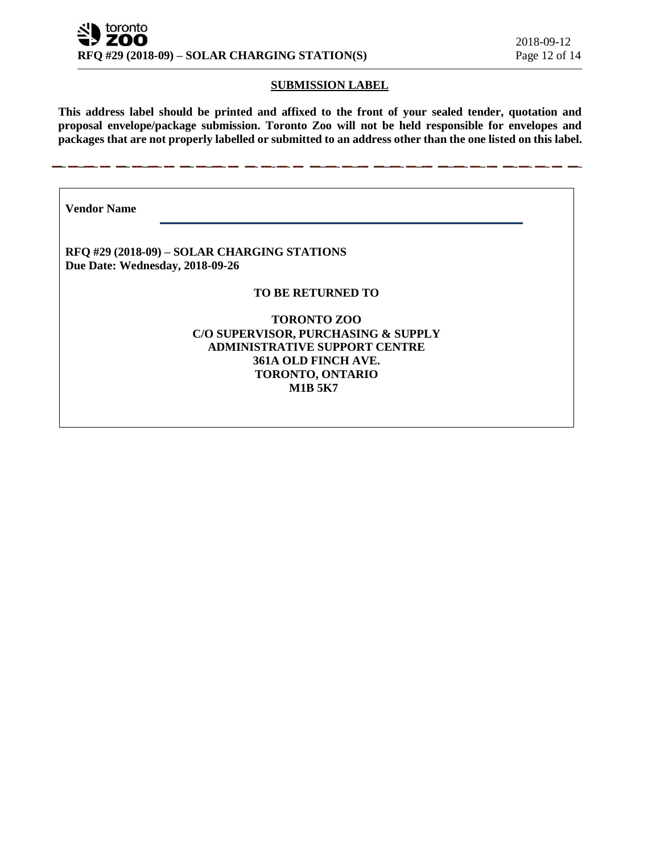#### **SUBMISSION LABEL**

**This address label should be printed and affixed to the front of your sealed tender, quotation and proposal envelope/package submission. Toronto Zoo will not be held responsible for envelopes and packages that are not properly labelled or submitted to an address other than the one listed on this label.**

**Vendor Name** 

**RFQ #29 (2018-09) – SOLAR CHARGING STATIONS Due Date: Wednesday, 2018-09-26**

#### **TO BE RETURNED TO**

**TORONTO ZOO C/O SUPERVISOR, PURCHASING & SUPPLY ADMINISTRATIVE SUPPORT CENTRE 361A OLD FINCH AVE. TORONTO, ONTARIO M1B 5K7**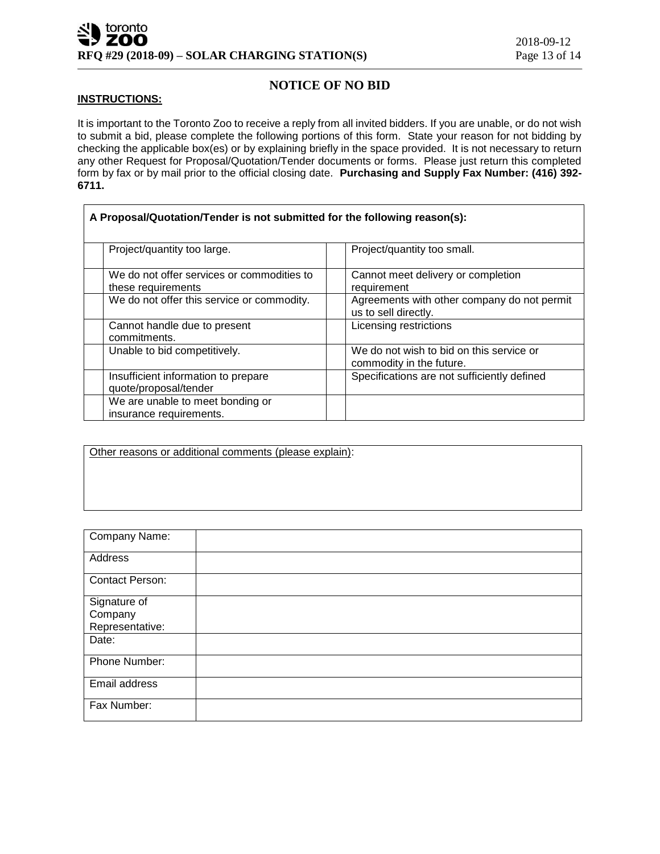## **NOTICE OF NO BID**

#### **INSTRUCTIONS:**

It is important to the Toronto Zoo to receive a reply from all invited bidders. If you are unable, or do not wish to submit a bid, please complete the following portions of this form. State your reason for not bidding by checking the applicable box(es) or by explaining briefly in the space provided. It is not necessary to return any other Request for Proposal/Quotation/Tender documents or forms. Please just return this completed form by fax or by mail prior to the official closing date. **Purchasing and Supply Fax Number: (416) 392- 6711.**

| A Proposal/Quotation/Tender is not submitted for the following reason(s): |                                                                      |  |
|---------------------------------------------------------------------------|----------------------------------------------------------------------|--|
| Project/quantity too large.                                               | Project/quantity too small.                                          |  |
| We do not offer services or commodities to<br>these requirements          | Cannot meet delivery or completion<br>requirement                    |  |
| We do not offer this service or commodity.                                | Agreements with other company do not permit<br>us to sell directly.  |  |
| Cannot handle due to present<br>commitments.                              | Licensing restrictions                                               |  |
| Unable to bid competitively.                                              | We do not wish to bid on this service or<br>commodity in the future. |  |
| Insufficient information to prepare<br>quote/proposal/tender              | Specifications are not sufficiently defined                          |  |
| We are unable to meet bonding or<br>insurance requirements.               |                                                                      |  |

Other reasons or additional comments (please explain):

| Company Name:                              |  |
|--------------------------------------------|--|
| Address                                    |  |
| <b>Contact Person:</b>                     |  |
| Signature of<br>Company<br>Representative: |  |
| Date:                                      |  |
| Phone Number:                              |  |
| Email address                              |  |
| Fax Number:                                |  |